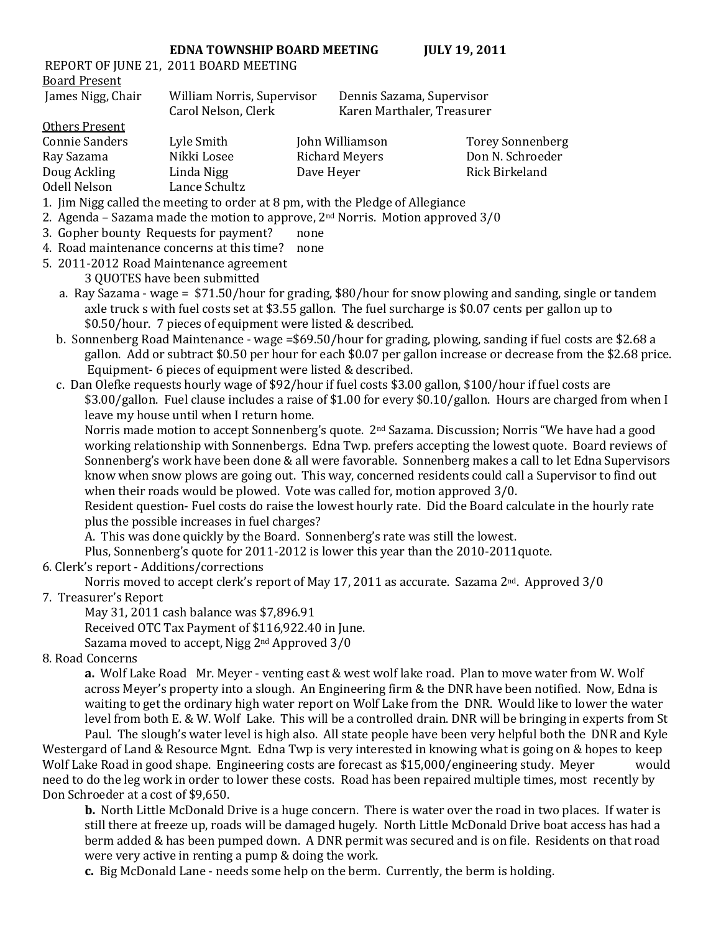## **EDNA TOWNSHIP BOARD MEETING JULY 19, 2011**

REPORT OF JUNE 21, 2011 BOARD MEETING Board Present

James Nigg, Chair William Norris, Supervisor Dennis Sazama, Supervisor Carol Nelson, Clerk Karen Marthaler, Treasurer

> Torey Sonnenberg Don N. Schroeder Rick Birkeland

| Others Present |               |                       |
|----------------|---------------|-----------------------|
| Connie Sanders | Lyle Smith    | John Williamson       |
| Ray Sazama     | Nikki Losee   | <b>Richard Meyers</b> |
| Doug Ackling   | Linda Nigg    | Dave Heyer            |
| Odell Nelson   | Lance Schultz |                       |

- 1. Jim Nigg called the meeting to order at 8 pm, with the Pledge of Allegiance
- 2. Agenda Sazama made the motion to approve,  $2<sup>nd</sup>$  Norris. Motion approved  $3/0$
- 3. Gopher bounty Requests for payment? none
- 4. Road maintenance concerns at this time? none
- 5. 2011-2012 Road Maintenance agreement 3 QUOTES have been submitted
	- a. Ray Sazama wage = \$71.50/hour for grading, \$80/hour for snow plowing and sanding, single or tandem axle truck s with fuel costs set at \$3.55 gallon. The fuel surcharge is \$0.07 cents per gallon up to \$0.50/hour. 7 pieces of equipment were listed & described.
	- b. Sonnenberg Road Maintenance wage =\$69.50/hour for grading, plowing, sanding if fuel costs are \$2.68 a gallon. Add or subtract \$0.50 per hour for each \$0.07 per gallon increase or decrease from the \$2.68 price. Equipment- 6 pieces of equipment were listed & described.
	- c. Dan Olefke requests hourly wage of \$92/hour if fuel costs \$3.00 gallon, \$100/hour if fuel costs are \$3.00/gallon. Fuel clause includes a raise of \$1.00 for every \$0.10/gallon. Hours are charged from when I leave my house until when I return home.

Norris made motion to accept Sonnenberg's quote. 2nd Sazama. Discussion; Norris "We have had a good working relationship with Sonnenbergs. Edna Twp. prefers accepting the lowest quote. Board reviews of Sonnenberg's work have been done & all were favorable. Sonnenberg makes a call to let Edna Supervisors know when snow plows are going out. This way, concerned residents could call a Supervisor to find out when their roads would be plowed. Vote was called for, motion approved 3/0.

Resident question- Fuel costs do raise the lowest hourly rate. Did the Board calculate in the hourly rate plus the possible increases in fuel charges?

A. This was done quickly by the Board. Sonnenberg's rate was still the lowest.

Plus, Sonnenberg's quote for 2011-2012 is lower this year than the 2010-2011quote.

6. Clerk's report - Additions/corrections

Norris moved to accept clerk's report of May 17, 2011 as accurate. Sazama 2<sup>nd</sup>. Approved 3/0

## 7. Treasurer's Report

May 31, 2011 cash balance was \$7,896.91

Received OTC Tax Payment of \$116,922.40 in June.

Sazama moved to accept, Nigg 2nd Approved 3/0

## 8. Road Concerns

**a.** Wolf Lake Road Mr. Meyer - venting east & west wolf lake road. Plan to move water from W. Wolf across Meyer's property into a slough. An Engineering firm & the DNR have been notified. Now, Edna is waiting to get the ordinary high water report on Wolf Lake from the DNR. Would like to lower the water level from both E. & W. Wolf Lake. This will be a controlled drain. DNR will be bringing in experts from St Paul. The slough's water level is high also. All state people have been very helpful both the DNR and Kyle

Westergard of Land & Resource Mgnt. Edna Twp is very interested in knowing what is going on & hopes to keep Wolf Lake Road in good shape. Engineering costs are forecast as \$15,000/engineering study. Meyer would need to do the leg work in order to lower these costs. Road has been repaired multiple times, most recently by Don Schroeder at a cost of \$9,650.

**b.** North Little McDonald Drive is a huge concern. There is water over the road in two places. If water is still there at freeze up, roads will be damaged hugely. North Little McDonald Drive boat access has had a berm added & has been pumped down. A DNR permit was secured and is on file. Residents on that road were very active in renting a pump & doing the work.

**c.** Big McDonald Lane - needs some help on the berm. Currently, the berm is holding.